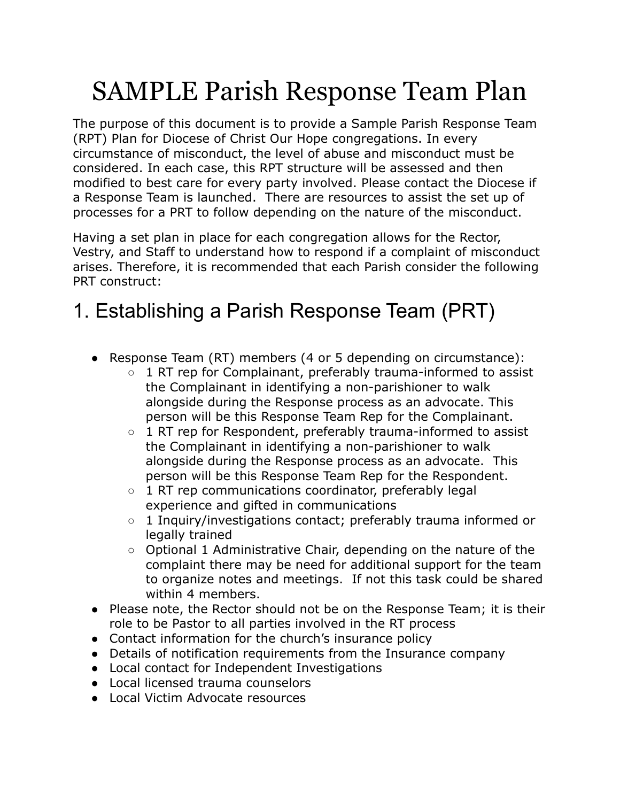# SAMPLE Parish Response Team Plan

The purpose of this document is to provide a Sample Parish Response Team (RPT) Plan for Diocese of Christ Our Hope congregations. In every circumstance of misconduct, the level of abuse and misconduct must be considered. In each case, this RPT structure will be assessed and then modified to best care for every party involved. Please contact the Diocese if a Response Team is launched. There are resources to assist the set up of processes for a PRT to follow depending on the nature of the misconduct.

Having a set plan in place for each congregation allows for the Rector, Vestry, and Staff to understand how to respond if a complaint of misconduct arises. Therefore, it is recommended that each Parish consider the following PRT construct:

### 1. Establishing a Parish Response Team (PRT)

- Response Team (RT) members (4 or 5 depending on circumstance):
	- $\circ$  1 RT rep for Complainant, preferably trauma-informed to assist the Complainant in identifying a non-parishioner to walk alongside during the Response process as an advocate. This person will be this Response Team Rep for the Complainant.
	- 1 RT rep for Respondent, preferably trauma-informed to assist the Complainant in identifying a non-parishioner to walk alongside during the Response process as an advocate. This person will be this Response Team Rep for the Respondent.
	- 1 RT rep communications coordinator, preferably legal experience and gifted in communications
	- 1 Inquiry/investigations contact; preferably trauma informed or legally trained
	- Optional 1 Administrative Chair, depending on the nature of the complaint there may be need for additional support for the team to organize notes and meetings. If not this task could be shared within 4 members.
- Please note, the Rector should not be on the Response Team; it is their role to be Pastor to all parties involved in the RT process
- Contact information for the church's insurance policy
- Details of notification requirements from the Insurance company
- Local contact for Independent Investigations
- Local licensed trauma counselors
- Local Victim Advocate resources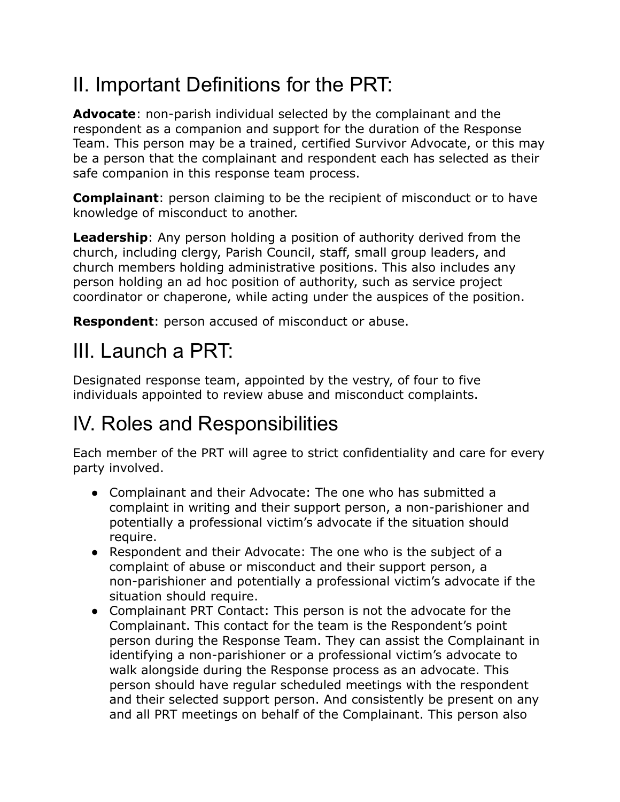## II. Important Definitions for the PRT:

**Advocate**: non-parish individual selected by the complainant and the respondent as a companion and support for the duration of the Response Team. This person may be a trained, certified Survivor Advocate, or this may be a person that the complainant and respondent each has selected as their safe companion in this response team process.

**Complainant**: person claiming to be the recipient of misconduct or to have knowledge of misconduct to another.

**Leadership**: Any person holding a position of authority derived from the church, including clergy, Parish Council, staff, small group leaders, and church members holding administrative positions. This also includes any person holding an ad hoc position of authority, such as service project coordinator or chaperone, while acting under the auspices of the position.

**Respondent**: person accused of misconduct or abuse.

### III. Launch a PRT:

Designated response team, appointed by the vestry, of four to five individuals appointed to review abuse and misconduct complaints.

## IV. Roles and Responsibilities

Each member of the PRT will agree to strict confidentiality and care for every party involved.

- Complainant and their Advocate: The one who has submitted a complaint in writing and their support person, a non-parishioner and potentially a professional victim's advocate if the situation should require.
- Respondent and their Advocate: The one who is the subject of a complaint of abuse or misconduct and their support person, a non-parishioner and potentially a professional victim's advocate if the situation should require.
- Complainant PRT Contact: This person is not the advocate for the Complainant. This contact for the team is the Respondent's point person during the Response Team. They can assist the Complainant in identifying a non-parishioner or a professional victim's advocate to walk alongside during the Response process as an advocate. This person should have regular scheduled meetings with the respondent and their selected support person. And consistently be present on any and all PRT meetings on behalf of the Complainant. This person also